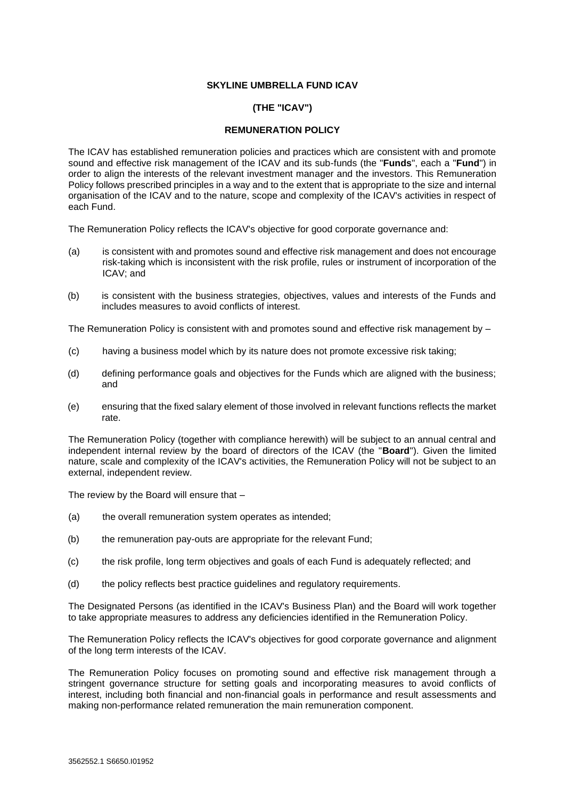## **SKYLINE UMBRELLA FUND ICAV**

## **(THE "ICAV")**

## **REMUNERATION POLICY**

The ICAV has established remuneration policies and practices which are consistent with and promote sound and effective risk management of the ICAV and its sub-funds (the "**Funds**", each a "**Fund**") in order to align the interests of the relevant investment manager and the investors. This Remuneration Policy follows prescribed principles in a way and to the extent that is appropriate to the size and internal organisation of the ICAV and to the nature, scope and complexity of the ICAV's activities in respect of each Fund.

The Remuneration Policy reflects the ICAV's objective for good corporate governance and:

- (a) is consistent with and promotes sound and effective risk management and does not encourage risk-taking which is inconsistent with the risk profile, rules or instrument of incorporation of the ICAV; and
- (b) is consistent with the business strategies, objectives, values and interests of the Funds and includes measures to avoid conflicts of interest.

The Remuneration Policy is consistent with and promotes sound and effective risk management by –

- (c) having a business model which by its nature does not promote excessive risk taking;
- (d) defining performance goals and objectives for the Funds which are aligned with the business; and
- (e) ensuring that the fixed salary element of those involved in relevant functions reflects the market rate.

The Remuneration Policy (together with compliance herewith) will be subject to an annual central and independent internal review by the board of directors of the ICAV (the "**Board**"). Given the limited nature, scale and complexity of the ICAV's activities, the Remuneration Policy will not be subject to an external, independent review.

The review by the Board will ensure that –

- (a) the overall remuneration system operates as intended;
- (b) the remuneration pay-outs are appropriate for the relevant Fund;
- (c) the risk profile, long term objectives and goals of each Fund is adequately reflected; and
- (d) the policy reflects best practice guidelines and regulatory requirements.

The Designated Persons (as identified in the ICAV's Business Plan) and the Board will work together to take appropriate measures to address any deficiencies identified in the Remuneration Policy.

The Remuneration Policy reflects the ICAV's objectives for good corporate governance and alignment of the long term interests of the ICAV.

The Remuneration Policy focuses on promoting sound and effective risk management through a stringent governance structure for setting goals and incorporating measures to avoid conflicts of interest, including both financial and non-financial goals in performance and result assessments and making non-performance related remuneration the main remuneration component.